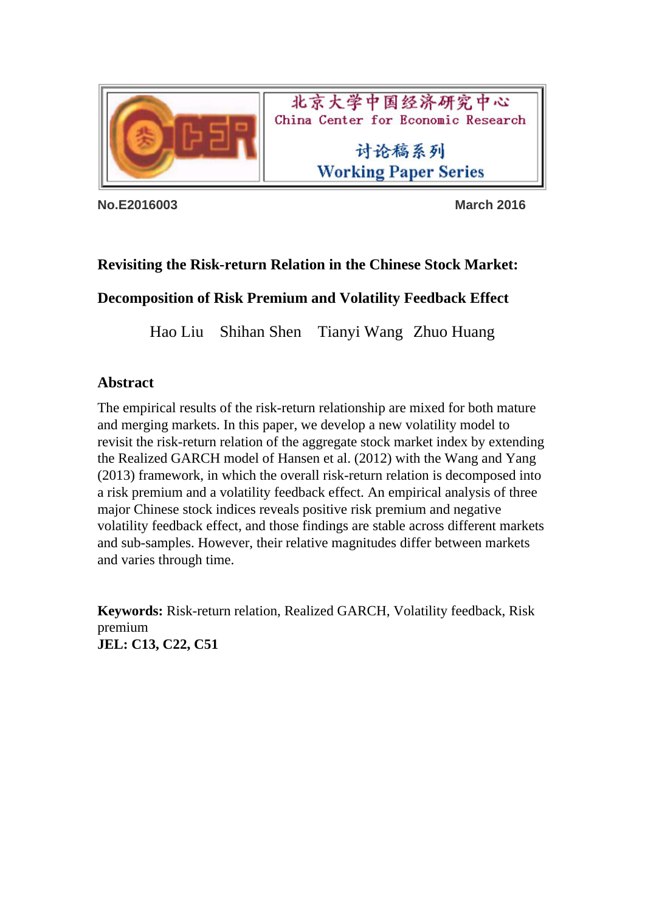

北京大学中国经济研究中心 China Center for Economic Research

> 讨论稿系列 **Working Paper Series**

**No.E2016003 March 2016** 

# **Revisiting the Risk-return Relation in the Chinese Stock Market:**

## **Decomposition of Risk Premium and Volatility Feedback Effect**

Hao Liu Shihan Shen Tianyi Wang Zhuo Huang

## **Abstract**

The empirical results of the risk-return relationship are mixed for both mature and merging markets. In this paper, we develop a new volatility model to revisit the risk-return relation of the aggregate stock market index by extending the Realized GARCH model of Hansen et al. (2012) with the Wang and Yang (2013) framework, in which the overall risk-return relation is decomposed into a risk premium and a volatility feedback effect. An empirical analysis of three major Chinese stock indices reveals positive risk premium and negative volatility feedback effect, and those findings are stable across different markets and sub-samples. However, their relative magnitudes differ between markets and varies through time.

**Keywords:** Risk-return relation, Realized GARCH, Volatility feedback, Risk premium **JEL: C13, C22, C51**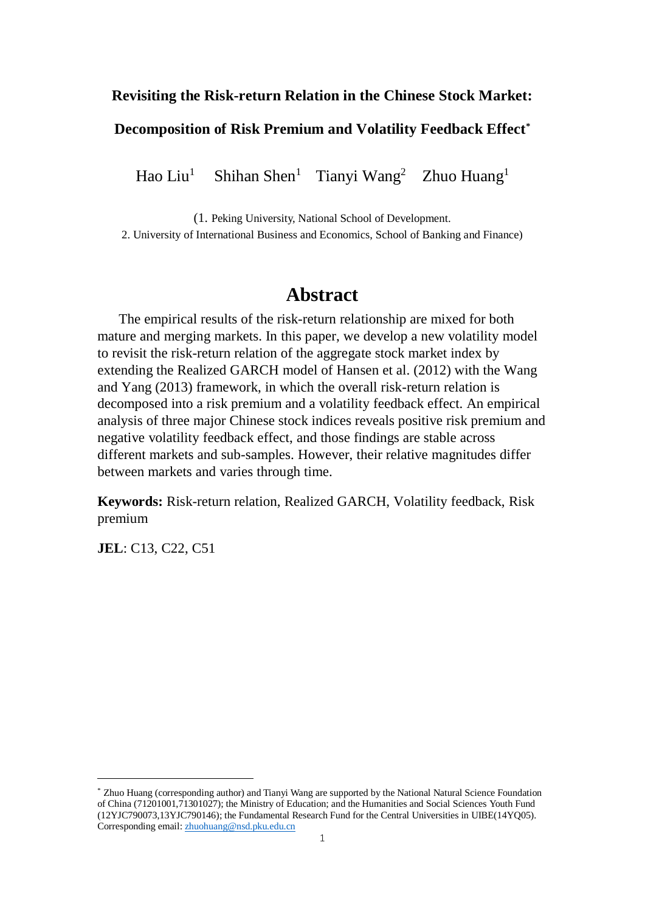#### **Revisiting the Risk-return Relation in the Chinese Stock Market:**

### **Decomposition of Risk Premium and Volatility Feedback Effect\***

Hao Liu $<sup>1</sup>$ </sup> Shihan Shen<sup>1</sup> Tianyi Wang<sup>2</sup> Zhuo Huang<sup>1</sup>

(1. Peking University, National School of Development.

2. University of International Business and Economics, School of Banking and Finance)

# **Abstract**

 The empirical results of the risk-return relationship are mixed for both mature and merging markets. In this paper, we develop a new volatility model to revisit the risk-return relation of the aggregate stock market index by extending the Realized GARCH model of Hansen et al. (2012) with the Wang and Yang (2013) framework, in which the overall risk-return relation is decomposed into a risk premium and a volatility feedback effect. An empirical analysis of three major Chinese stock indices reveals positive risk premium and negative volatility feedback effect, and those findings are stable across different markets and sub-samples. However, their relative magnitudes differ between markets and varies through time.

**Keywords:** Risk-return relation, Realized GARCH, Volatility feedback, Risk premium

**JEL**: C13, C22, C51

-

<sup>\*</sup> Zhuo Huang (corresponding author) and Tianyi Wang are supported by the National Natural Science Foundation of China (71201001,71301027); the Ministry of Education; and the Humanities and Social Sciences Youth Fund (12YJC790073,13YJC790146); the Fundamental Research Fund for the Central Universities in UIBE(14YQ05). Corresponding email[: zhuohuang@nsd.pku.edu.cn](mailto:zhuohuang@nsd.pku.edu.cn)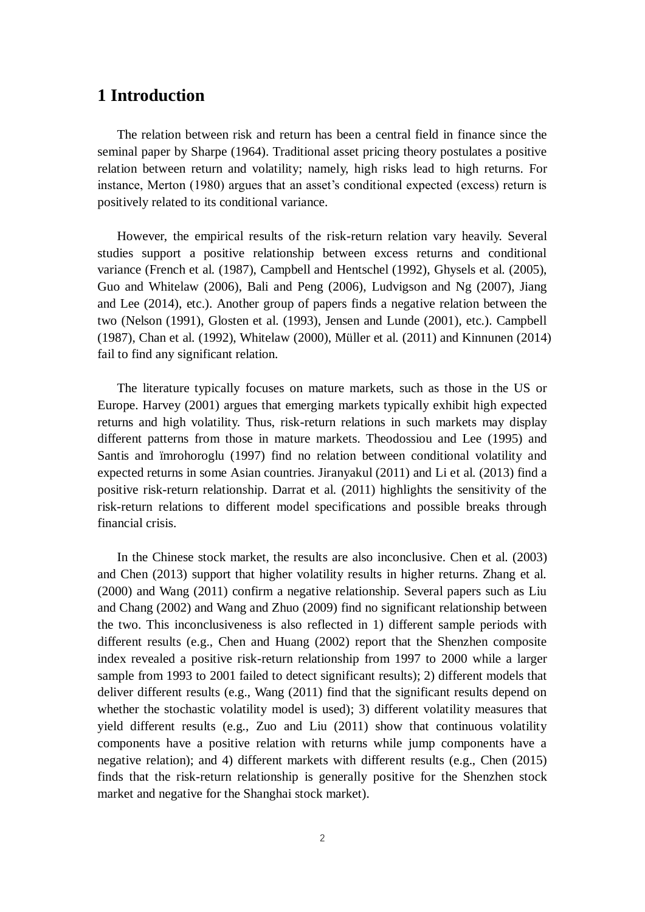## **1 Introduction**

 The relation between risk and return has been a central field in finance since the seminal paper by Sharpe (1964). Traditional asset pricing theory postulates a positive relation between return and volatility; namely, high risks lead to high returns. For instance, Merton (1980) argues that an asset's conditional expected (excess) return is positively related to its conditional variance.

 However, the empirical results of the risk-return relation vary heavily. Several studies support a positive relationship between excess returns and conditional variance (French et al. (1987), Campbell and Hentschel (1992), Ghysels et al. (2005), Guo and Whitelaw (2006), Bali and Peng (2006), Ludvigson and Ng (2007), Jiang and Lee (2014), etc.). Another group of papers finds a negative relation between the two (Nelson (1991), Glosten et al. (1993), Jensen and Lunde (2001), etc.). Campbell (1987), Chan et al. (1992), Whitelaw (2000), Müller et al. (2011) and Kinnunen (2014) fail to find any significant relation.

 The literature typically focuses on mature markets, such as those in the US or Europe. Harvey (2001) argues that emerging markets typically exhibit high expected returns and high volatility. Thus, risk-return relations in such markets may display different patterns from those in mature markets. Theodossiou and Lee (1995) and Santis and ïmrohoroglu (1997) find no relation between conditional volatility and expected returns in some Asian countries. Jiranyakul (2011) and Li et al. (2013) find a positive risk-return relationship. Darrat et al. (2011) highlights the sensitivity of the risk-return relations to different model specifications and possible breaks through financial crisis.

 In the Chinese stock market, the results are also inconclusive. Chen et al. (2003) and Chen (2013) support that higher volatility results in higher returns. Zhang et al. (2000) and Wang (2011) confirm a negative relationship. Several papers such as Liu and Chang (2002) and Wang and Zhuo (2009) find no significant relationship between the two. This inconclusiveness is also reflected in 1) different sample periods with different results (e.g., Chen and Huang (2002) report that the Shenzhen composite index revealed a positive risk-return relationship from 1997 to 2000 while a larger sample from 1993 to 2001 failed to detect significant results); 2) different models that deliver different results (e.g., Wang (2011) find that the significant results depend on whether the stochastic volatility model is used); 3) different volatility measures that yield different results (e.g., Zuo and Liu (2011) show that continuous volatility components have a positive relation with returns while jump components have a negative relation); and 4) different markets with different results (e.g., Chen (2015) finds that the risk-return relationship is generally positive for the Shenzhen stock market and negative for the Shanghai stock market).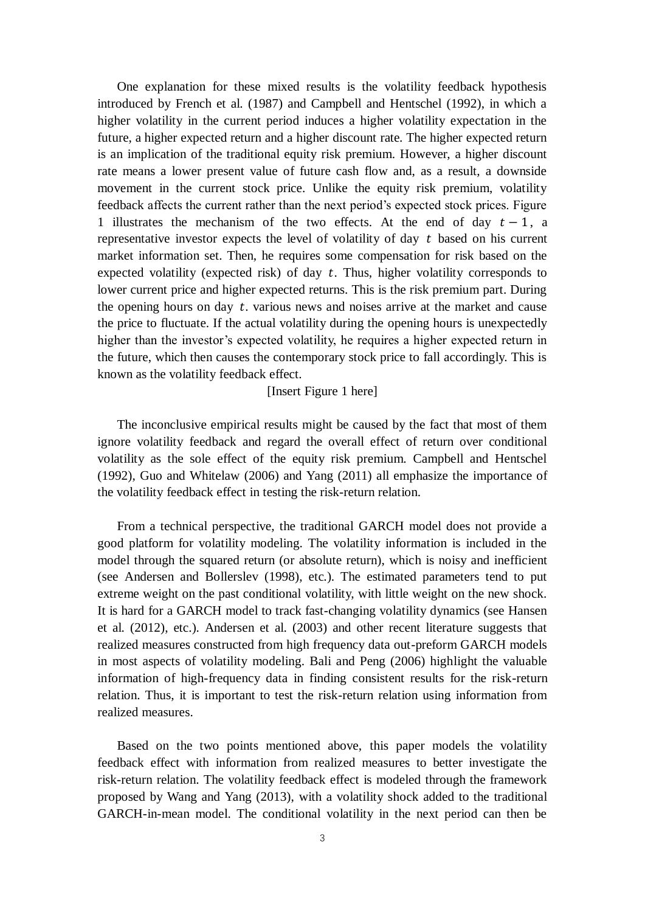One explanation for these mixed results is the volatility feedback hypothesis introduced by French et al. (1987) and Campbell and Hentschel (1992), in which a higher volatility in the current period induces a higher volatility expectation in the future, a higher expected return and a higher discount rate. The higher expected return is an implication of the traditional equity risk premium. However, a higher discount rate means a lower present value of future cash flow and, as a result, a downside movement in the current stock price. Unlike the equity risk premium, volatility feedback affects the current rather than the next period's expected stock prices. Figure 1 illustrates the mechanism of the two effects. At the end of day  $t - 1$ , a representative investor expects the level of volatility of day  $t$  based on his current market information set. Then, he requires some compensation for risk based on the expected volatility (expected risk) of day  $t$ . Thus, higher volatility corresponds to lower current price and higher expected returns. This is the risk premium part. During the opening hours on day  $t$ . various news and noises arrive at the market and cause the price to fluctuate. If the actual volatility during the opening hours is unexpectedly higher than the investor's expected volatility, he requires a higher expected return in the future, which then causes the contemporary stock price to fall accordingly. This is known as the volatility feedback effect.

[Insert Figure 1 here]

 The inconclusive empirical results might be caused by the fact that most of them ignore volatility feedback and regard the overall effect of return over conditional volatility as the sole effect of the equity risk premium. Campbell and Hentschel (1992), Guo and Whitelaw (2006) and Yang (2011) all emphasize the importance of the volatility feedback effect in testing the risk-return relation.

 From a technical perspective, the traditional GARCH model does not provide a good platform for volatility modeling. The volatility information is included in the model through the squared return (or absolute return), which is noisy and inefficient (see Andersen and Bollerslev (1998), etc.). The estimated parameters tend to put extreme weight on the past conditional volatility, with little weight on the new shock. It is hard for a GARCH model to track fast-changing volatility dynamics (see Hansen et al. (2012), etc.). Andersen et al. (2003) and other recent literature suggests that realized measures constructed from high frequency data out-preform GARCH models in most aspects of volatility modeling. Bali and Peng (2006) highlight the valuable information of high-frequency data in finding consistent results for the risk-return relation. Thus, it is important to test the risk-return relation using information from realized measures.

 Based on the two points mentioned above, this paper models the volatility feedback effect with information from realized measures to better investigate the risk-return relation. The volatility feedback effect is modeled through the framework proposed by Wang and Yang (2013), with a volatility shock added to the traditional GARCH-in-mean model. The conditional volatility in the next period can then be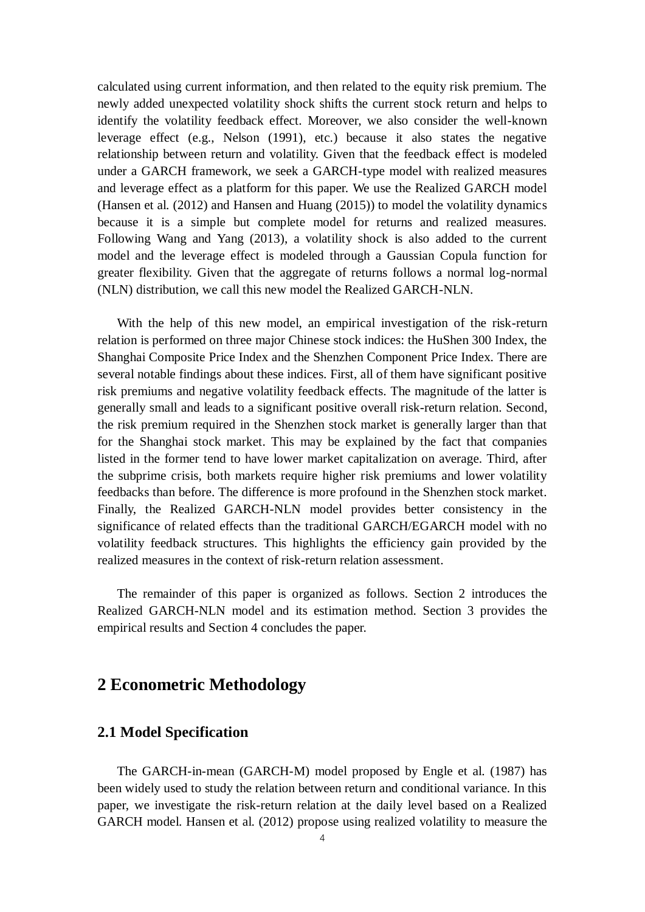calculated using current information, and then related to the equity risk premium. The newly added unexpected volatility shock shifts the current stock return and helps to identify the volatility feedback effect. Moreover, we also consider the well-known leverage effect (e.g., Nelson (1991), etc.) because it also states the negative relationship between return and volatility. Given that the feedback effect is modeled under a GARCH framework, we seek a GARCH-type model with realized measures and leverage effect as a platform for this paper. We use the Realized GARCH model (Hansen et al. (2012) and Hansen and Huang (2015)) to model the volatility dynamics because it is a simple but complete model for returns and realized measures. Following Wang and Yang (2013), a volatility shock is also added to the current model and the leverage effect is modeled through a Gaussian Copula function for greater flexibility. Given that the aggregate of returns follows a normal log-normal (NLN) distribution, we call this new model the Realized GARCH-NLN.

 With the help of this new model, an empirical investigation of the risk-return relation is performed on three major Chinese stock indices: the HuShen 300 Index, the Shanghai Composite Price Index and the Shenzhen Component Price Index. There are several notable findings about these indices. First, all of them have significant positive risk premiums and negative volatility feedback effects. The magnitude of the latter is generally small and leads to a significant positive overall risk-return relation. Second, the risk premium required in the Shenzhen stock market is generally larger than that for the Shanghai stock market. This may be explained by the fact that companies listed in the former tend to have lower market capitalization on average. Third, after the subprime crisis, both markets require higher risk premiums and lower volatility feedbacks than before. The difference is more profound in the Shenzhen stock market. Finally, the Realized GARCH-NLN model provides better consistency in the significance of related effects than the traditional GARCH/EGARCH model with no volatility feedback structures. This highlights the efficiency gain provided by the realized measures in the context of risk-return relation assessment.

 The remainder of this paper is organized as follows. Section 2 introduces the Realized GARCH-NLN model and its estimation method. Section 3 provides the empirical results and Section 4 concludes the paper.

### **2 Econometric Methodology**

#### **2.1 Model Specification**

 The GARCH-in-mean (GARCH-M) model proposed by Engle et al. (1987) has been widely used to study the relation between return and conditional variance. In this paper, we investigate the risk-return relation at the daily level based on a Realized GARCH model. Hansen et al. (2012) propose using realized volatility to measure the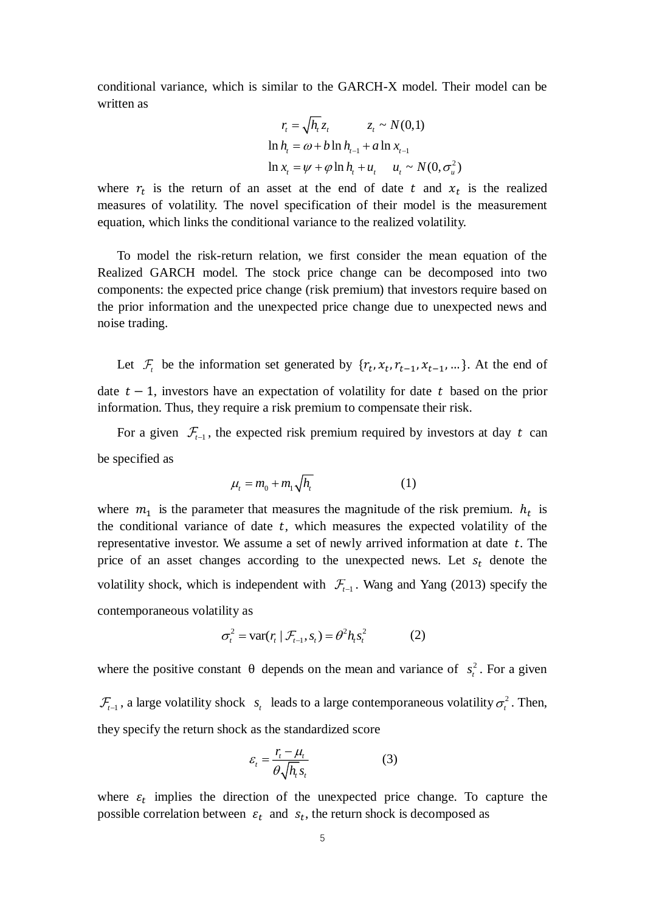conditional variance, which is similar to the GARCH-X model. Their model can be written as

$$
r_{t} = \sqrt{h_{t}} z_{t} \qquad z_{t} \sim N(0,1)
$$
  
\n
$$
\ln h_{t} = \omega + b \ln h_{t-1} + a \ln x_{t-1}
$$
  
\n
$$
\ln x_{t} = \psi + \varphi \ln h_{t} + u_{t} \qquad u_{t} \sim N(0, \sigma_{u}^{2})
$$

where  $r_t$  is the return of an asset at the end of date t and  $x_t$  is the realized measures of volatility. The novel specification of their model is the measurement equation, which links the conditional variance to the realized volatility.

 To model the risk-return relation, we first consider the mean equation of the Realized GARCH model. The stock price change can be decomposed into two components: the expected price change (risk premium) that investors require based on the prior information and the unexpected price change due to unexpected news and noise trading.

Let  $\mathcal{F}_t$  be the information set generated by  $\{r_t, x_t, r_{t-1}, x_{t-1}, ...\}$ . At the end of date  $t - 1$ , investors have an expectation of volatility for date t based on the prior information. Thus, they require a risk premium to compensate their risk.

For a given  $\mathcal{F}_{t-1}$ , the expected risk premium required by investors at day t can be specified as

$$
\mu_t = m_0 + m_1 \sqrt{h_t} \tag{1}
$$

where  $m_1$  is the parameter that measures the magnitude of the risk premium.  $h_t$  is the conditional variance of date  $t$ , which measures the expected volatility of the representative investor. We assume a set of newly arrived information at date  $t$ . The price of an asset changes according to the unexpected news. Let  $s_t$  denote the volatility shock, which is independent with  $\mathcal{F}_{t-1}$ . Wang and Yang (2013) specify the contemporaneous volatility as

$$
\sigma_t^2 = \text{var}(r_t | \mathcal{F}_{t-1}, s_t) = \theta^2 h_t s_t^2 \tag{2}
$$

where the positive constant  $\theta$  depends on the mean and variance of  $s_t^2$  $s<sub>t</sub><sup>2</sup>$ . For a given

 $\sum_{t=1}^{\infty}$ , a large volatility shock  $s_t$  leads to a large contemporaneous volatility  $\sigma_t^2$ . Then, they specify the return shock as the standardized score

$$
\varepsilon_{t} = \frac{r_{t} - \mu_{t}}{\theta \sqrt{h_{t} s_{t}}} \tag{3}
$$

where  $\varepsilon_t$  implies the direction of the unexpected price change. To capture the possible correlation between  $\varepsilon_t$  and  $s_t$ , the return shock is decomposed as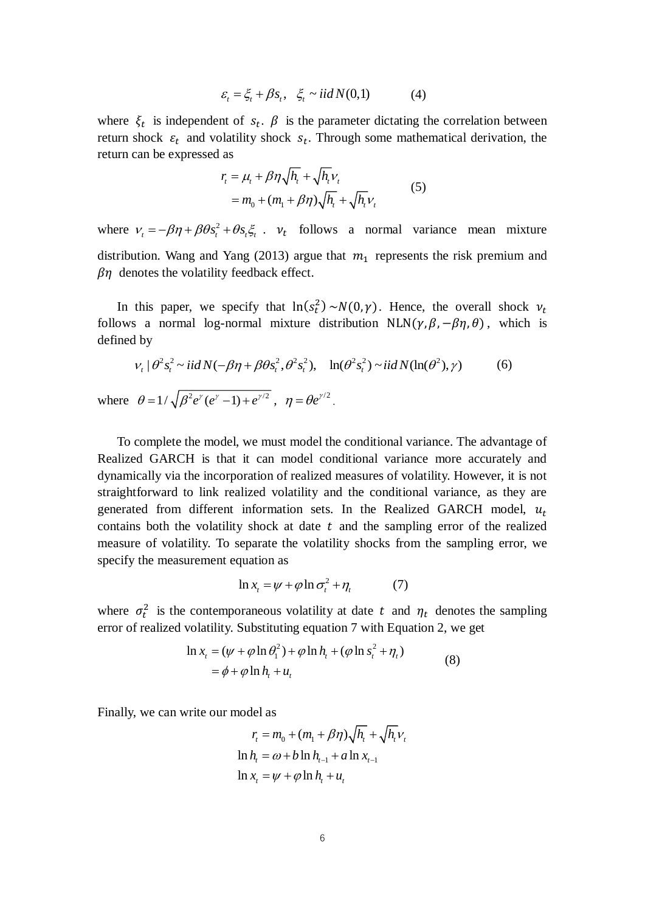$$
\varepsilon_t = \xi_t + \beta s_t, \quad \xi_t \sim \text{iid } N(0,1) \tag{4}
$$

where  $\xi_t$  is independent of  $s_t$ .  $\beta$  is the parameter dictating the correlation between return shock  $\varepsilon_t$  and volatility shock  $s_t$ . Through some mathematical derivation, the return can be expressed as

$$
r_{i} = \mu_{t} + \beta \eta \sqrt{h_{t}} + \sqrt{h_{t}} V_{t}
$$
  
=  $m_{0} + (m_{1} + \beta \eta) \sqrt{h_{t}} + \sqrt{h_{t}} V_{t}$  (5)

where  $v_t = -\beta \eta + \beta \theta s_t^2 + \theta s_t \xi_t$ .  $v_t$  follows a normal variance mean mixture distribution. Wang and Yang (2013) argue that  $m_1$  represents the risk premium and  $\beta$ *n* denotes the volatility feedback effect.

In this paper, we specify that  $\ln(s_t^2) \sim N(0, \gamma)$ . Hence, the overall shock  $v_t$ follows a normal log-normal mixture distribution NLN( $\gamma$ ,  $\beta$ ,  $-\beta\eta$ ,  $\theta$ ), which is defined by

$$
v_t | \theta^2 s_t^2 \sim \text{iid } N(-\beta \eta + \beta \theta s_t^2, \theta^2 s_t^2), \quad \ln(\theta^2 s_t^2) \sim \text{iid } N(\ln(\theta^2), \gamma) \tag{6}
$$

where  $\theta = 1/\sqrt{\beta^2}e^{\gamma}(e^{\gamma}-1) + e^{\gamma/2}$ ,  $\eta = \theta e^{\gamma/2}$ .

 To complete the model, we must model the conditional variance. The advantage of Realized GARCH is that it can model conditional variance more accurately and dynamically via the incorporation of realized measures of volatility. However, it is not straightforward to link realized volatility and the conditional variance, as they are generated from different information sets. In the Realized GARCH model,  $u_t$ contains both the volatility shock at date  $t$  and the sampling error of the realized measure of volatility. To separate the volatility shocks from the sampling error, we specify the measurement equation as

$$
\ln x_t = \psi + \varphi \ln \sigma_t^2 + \eta_t \tag{7}
$$

where  $\sigma_t^2$  is the contemporaneous volatility at date t and  $\eta_t$  denotes the sampling error of realized volatility. Substituting equation 7 with Equation 2, we get

$$
\ln x_t = (\psi + \varphi \ln \theta_1^2) + \varphi \ln h_t + (\varphi \ln s_t^2 + \eta_t)
$$
  
=  $\phi + \varphi \ln h_t + u_t$  (8)

Finally, we can write our model as

$$
r_{t} = m_{0} + (m_{1} + \beta \eta) \sqrt{h_{t}} + \sqrt{h_{t}} v_{t}
$$
  
\n
$$
\ln h_{t} = \omega + b \ln h_{t-1} + a \ln x_{t-1}
$$
  
\n
$$
\ln x_{t} = \psi + \varphi \ln h_{t} + u_{t}
$$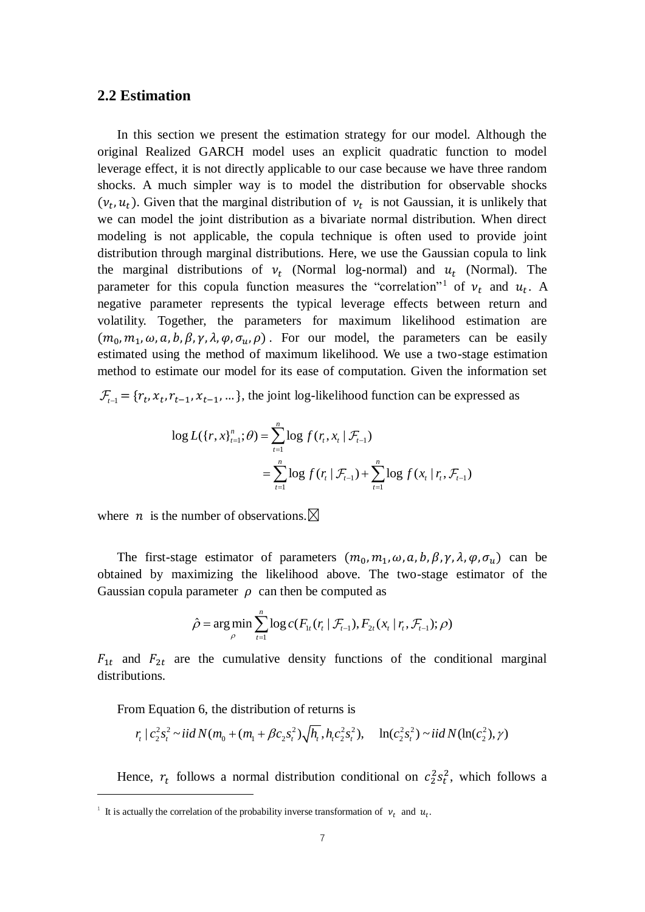#### **2.2 Estimation**

 In this section we present the estimation strategy for our model. Although the original Realized GARCH model uses an explicit quadratic function to model leverage effect, it is not directly applicable to our case because we have three random shocks. A much simpler way is to model the distribution for observable shocks  $(v_t, u_t)$ . Given that the marginal distribution of  $v_t$  is not Gaussian, it is unlikely that we can model the joint distribution as a bivariate normal distribution. When direct modeling is not applicable, the copula technique is often used to provide joint distribution through marginal distributions. Here, we use the Gaussian copula to link the marginal distributions of  $v_t$  (Normal log-normal) and  $u_t$  (Normal). The parameter for this copula function measures the "correlation"<sup>1</sup> of  $v_t$  and  $u_t$ . A negative parameter represents the typical leverage effects between return and volatility. Together, the parameters for maximum likelihood estimation are  $(m_0, m_1, \omega, a, b, \beta, \gamma, \lambda, \varphi, \sigma_u, \rho)$ . For our model, the parameters can be easily estimated using the method of maximum likelihood. We use a two-stage estimation method to estimate our model for its ease of computation. Given the information set

 $\mathcal{F}_{t-1} = \{r_t, x_t, r_{t-1}, x_{t-1}, ...\}$ , the joint log-likelihood function can be expressed as

$$
\log L(\lbrace r, x \rbrace_{t=1}^n; \theta) = \sum_{t=1}^n \log f(r_t, x_t | \mathcal{F}_{t-1})
$$
  
= 
$$
\sum_{t=1}^n \log f(r_t | \mathcal{F}_{t-1}) + \sum_{t=1}^n \log f(x_t | r_t, \mathcal{F}_{t-1})
$$

where *n* is the number of observations.  $\boxtimes$ 

The first-stage estimator of parameters  $(m_0, m_1, \omega, a, b, \beta, \gamma, \lambda, \varphi, \sigma_u)$  can be obtained by maximizing the likelihood above. The two-stage estimator of the Gaussian copula parameter  $\rho$  can then be computed as

$$
\hat{\rho} = \argmin_{\rho} \sum_{t=1}^{n} \log c(F_{1t}(r_t | \mathcal{F}_{t-1}), F_{2t}(x_t | r_t, \mathcal{F}_{t-1}); \rho)
$$

 $F_{1t}$  and  $F_{2t}$  are the cumulative density functions of the conditional marginal distributions.

<u>.</u>

From Equation 6, the distribution of returns is  
\n
$$
r_t \mid c_2^2 s_t^2 \sim \text{i} \text{i} \text{d} N(m_0 + (m_1 + \beta c_2 s_t^2) \sqrt{h_t}, h_t c_2^2 s_t^2), \quad \ln(c_2^2 s_t^2) \sim \text{i} \text{i} \text{d} N(\ln(c_2^2), \gamma)
$$

Hence,  $r_t$  follows a normal distribution conditional on  $c_2^2 s_t^2$ , which follows a

<sup>&</sup>lt;sup>1</sup> It is actually the correlation of the probability inverse transformation of  $v_t$  and  $u_t$ .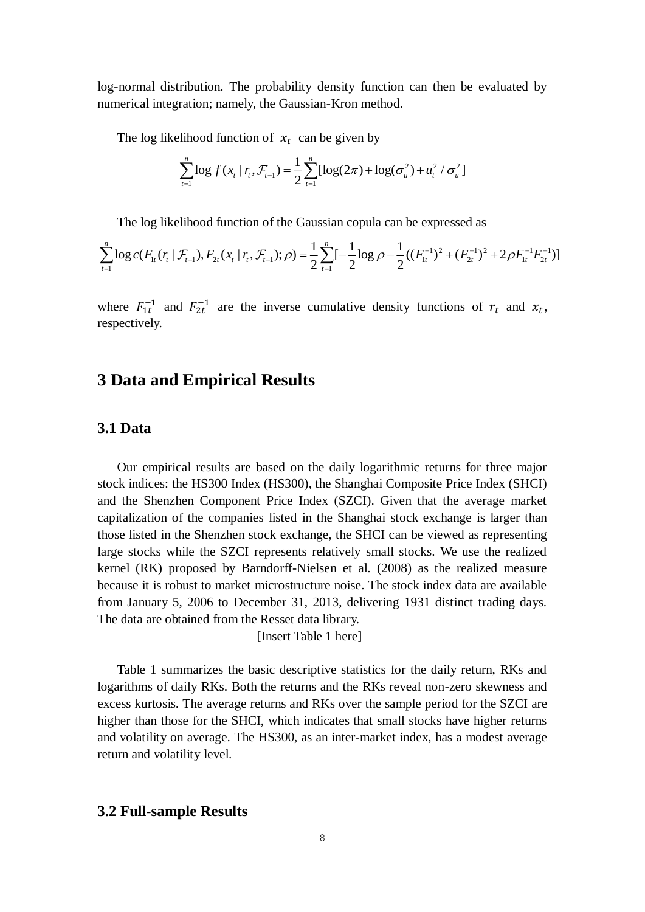log-normal distribution. The probability density function can then be evaluated by numerical integration; namely, the Gaussian-Kron method.

The log likelihood function of  $x_t$  can be given by

$$
\sum_{t=1}^{n} \log f(x_t | r_t, \mathcal{F}_{t-1}) = \frac{1}{2} \sum_{t=1}^{n} [\log(2\pi) + \log(\sigma_u^2) + u_t^2 / \sigma_u^2]
$$

The log likelihood function of the Gaussian copula can be expressed as

$$
\sum_{t=1}^{n} \log c(F_{1t}(r_t | \mathcal{F}_{t-1}), F_{2t}(x_t | r_t, \mathcal{F}_{t-1}); \rho) = \frac{1}{2} \sum_{t=1}^{n} \left[-\frac{1}{2} \log \rho - \frac{1}{2} ((F_{1t}^{-1})^2 + (F_{2t}^{-1})^2 + 2\rho F_{1t}^{-1} F_{2t}^{-1})\right]
$$

where  $F_{1t}^{-1}$  and  $F_{2t}^{-1}$  are the inverse cumulative density functions of  $r_t$  and  $x_t$ , respectively.

# **3 Data and Empirical Results**

### **3.1 Data**

 Our empirical results are based on the daily logarithmic returns for three major stock indices: the HS300 Index (HS300), the Shanghai Composite Price Index (SHCI) and the Shenzhen Component Price Index (SZCI). Given that the average market capitalization of the companies listed in the Shanghai stock exchange is larger than those listed in the Shenzhen stock exchange, the SHCI can be viewed as representing large stocks while the SZCI represents relatively small stocks. We use the realized kernel (RK) proposed by Barndorff-Nielsen et al. (2008) as the realized measure because it is robust to market microstructure noise. The stock index data are available from January 5, 2006 to December 31, 2013, delivering 1931 distinct trading days. The data are obtained from the Resset data library.

[Insert Table 1 here]

 Table 1 summarizes the basic descriptive statistics for the daily return, RKs and logarithms of daily RKs. Both the returns and the RKs reveal non-zero skewness and excess kurtosis. The average returns and RKs over the sample period for the SZCI are higher than those for the SHCI, which indicates that small stocks have higher returns and volatility on average. The HS300, as an inter-market index, has a modest average return and volatility level.

#### **3.2 Full-sample Results**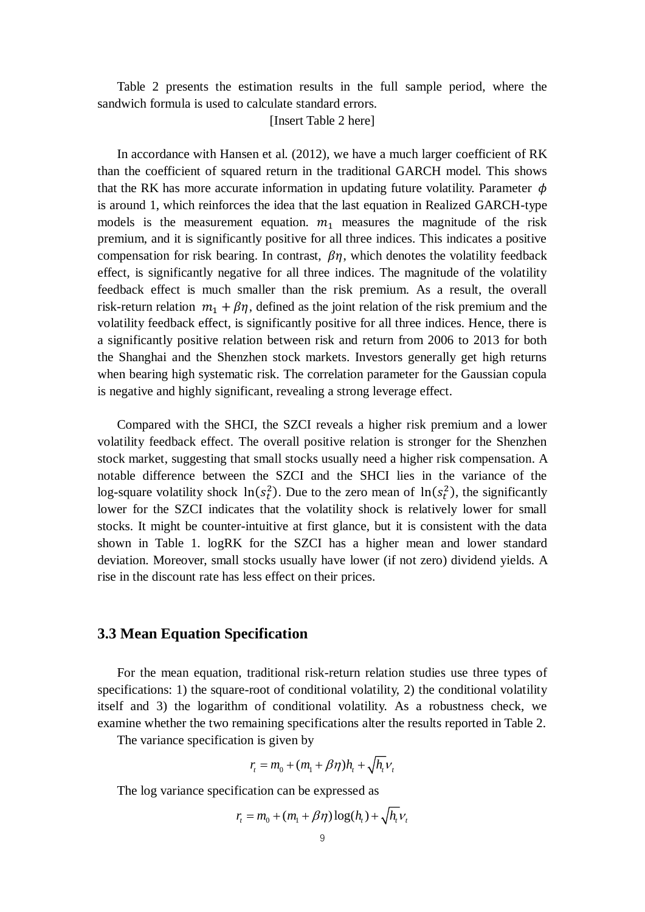Table 2 presents the estimation results in the full sample period, where the sandwich formula is used to calculate standard errors.

[Insert Table 2 here]

 In accordance with Hansen et al. (2012), we have a much larger coefficient of RK than the coefficient of squared return in the traditional GARCH model. This shows that the RK has more accurate information in updating future volatility. Parameter  $\phi$ is around 1, which reinforces the idea that the last equation in Realized GARCH-type models is the measurement equation.  $m_1$  measures the magnitude of the risk premium, and it is significantly positive for all three indices. This indicates a positive compensation for risk bearing. In contrast,  $\beta\eta$ , which denotes the volatility feedback effect, is significantly negative for all three indices. The magnitude of the volatility feedback effect is much smaller than the risk premium. As a result, the overall risk-return relation  $m_1 + \beta \eta$ , defined as the joint relation of the risk premium and the volatility feedback effect, is significantly positive for all three indices. Hence, there is a significantly positive relation between risk and return from 2006 to 2013 for both the Shanghai and the Shenzhen stock markets. Investors generally get high returns when bearing high systematic risk. The correlation parameter for the Gaussian copula is negative and highly significant, revealing a strong leverage effect.

 Compared with the SHCI, the SZCI reveals a higher risk premium and a lower volatility feedback effect. The overall positive relation is stronger for the Shenzhen stock market, suggesting that small stocks usually need a higher risk compensation. A notable difference between the SZCI and the SHCI lies in the variance of the log-square volatility shock  $\ln(s_t^2)$ . Due to the zero mean of  $\ln(s_t^2)$ , the significantly lower for the SZCI indicates that the volatility shock is relatively lower for small stocks. It might be counter-intuitive at first glance, but it is consistent with the data shown in Table 1. logRK for the SZCI has a higher mean and lower standard deviation. Moreover, small stocks usually have lower (if not zero) dividend yields. A rise in the discount rate has less effect on their prices.

#### **3.3 Mean Equation Specification**

 For the mean equation, traditional risk-return relation studies use three types of specifications: 1) the square-root of conditional volatility, 2) the conditional volatility itself and 3) the logarithm of conditional volatility. As a robustness check, we examine whether the two remaining specifications alter the results reported in Table 2.

The variance specification is given by

$$
r_t = m_0 + (m_1 + \beta \eta)h_t + \sqrt{h_t v_t}
$$

The log variance specification can be expressed as

$$
r_{t} = m_{0} + (m_{1} + \beta \eta) \log(h_{t}) + \sqrt{h_{t}V_{t}}
$$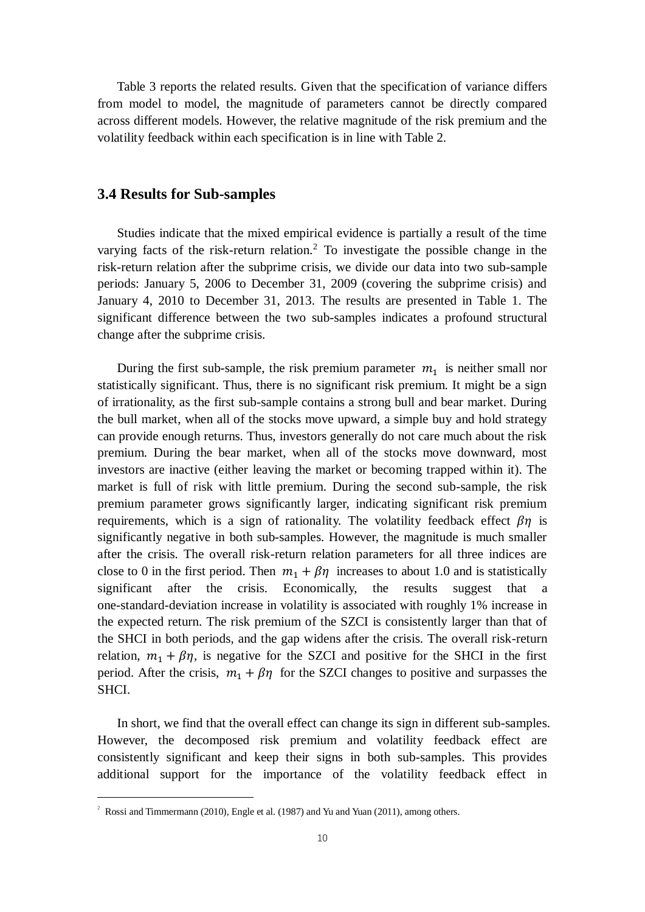Table 3 reports the related results. Given that the specification of variance differs from model to model, the magnitude of parameters cannot be directly compared across different models. However, the relative magnitude of the risk premium and the volatility feedback within each specification is in line with Table 2.

#### **3.4 Results for Sub-samples**

 Studies indicate that the mixed empirical evidence is partially a result of the time varying facts of the risk-return relation.<sup>2</sup> To investigate the possible change in the risk-return relation after the subprime crisis, we divide our data into two sub-sample periods: January 5, 2006 to December 31, 2009 (covering the subprime crisis) and January 4, 2010 to December 31, 2013. The results are presented in Table 1. The significant difference between the two sub-samples indicates a profound structural change after the subprime crisis.

During the first sub-sample, the risk premium parameter  $m_1$  is neither small nor statistically significant. Thus, there is no significant risk premium. It might be a sign of irrationality, as the first sub-sample contains a strong bull and bear market. During the bull market, when all of the stocks move upward, a simple buy and hold strategy can provide enough returns. Thus, investors generally do not care much about the risk premium. During the bear market, when all of the stocks move downward, most investors are inactive (either leaving the market or becoming trapped within it). The market is full of risk with little premium. During the second sub-sample, the risk premium parameter grows significantly larger, indicating significant risk premium requirements, which is a sign of rationality. The volatility feedback effect  $\beta\eta$  is significantly negative in both sub-samples. However, the magnitude is much smaller after the crisis. The overall risk-return relation parameters for all three indices are close to 0 in the first period. Then  $m_1 + \beta\eta$  increases to about 1.0 and is statistically significant after the crisis. Economically, the results suggest that a one-standard-deviation increase in volatility is associated with roughly 1% increase in the expected return. The risk premium of the SZCI is consistently larger than that of the SHCI in both periods, and the gap widens after the crisis. The overall risk-return relation,  $m_1 + \beta \eta$ , is negative for the SZCI and positive for the SHCI in the first period. After the crisis,  $m_1 + \beta \eta$  for the SZCI changes to positive and surpasses the SHCI.

 In short, we find that the overall effect can change its sign in different sub-samples. However, the decomposed risk premium and volatility feedback effect are consistently significant and keep their signs in both sub-samples. This provides additional support for the importance of the volatility feedback effect in

<u>.</u>

<sup>&</sup>lt;sup>2</sup> Rossi and Timmermann (2010), Engle et al. (1987) and Yu and Yuan (2011), among others.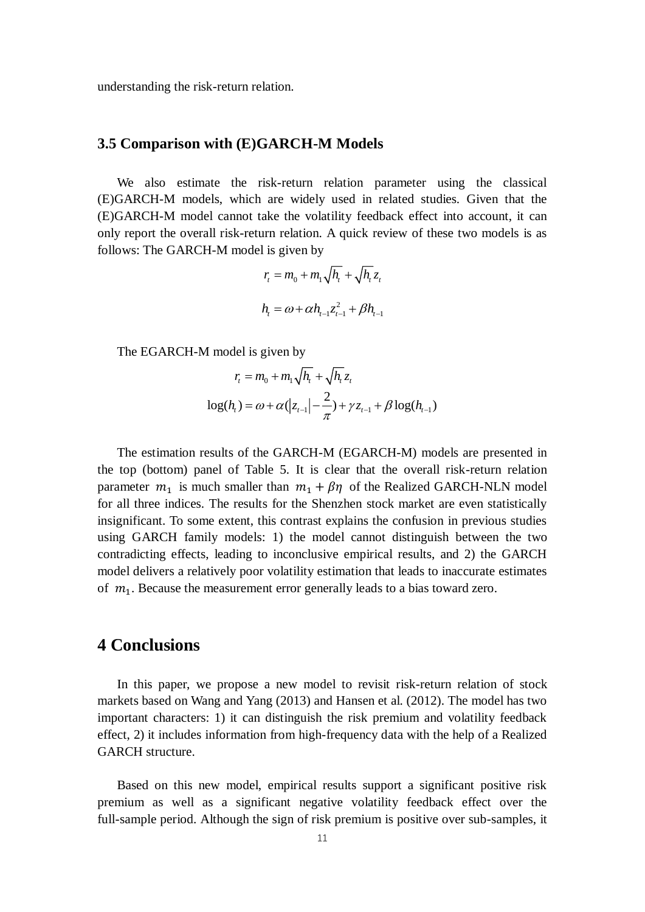understanding the risk-return relation.

#### **3.5 Comparison with (E)GARCH-M Models**

 We also estimate the risk-return relation parameter using the classical (E)GARCH-M models, which are widely used in related studies. Given that the (E)GARCH-M model cannot take the volatility feedback effect into account, it can only report the overall risk-return relation. A quick review of these two models is as follows: The GARCH-M model is given by

$$
r_{t} = m_{0} + m_{1}\sqrt{h_{t}} + \sqrt{h_{t}}z_{t}
$$

$$
h_{t} = \omega + \alpha h_{t-1}z_{t-1}^{2} + \beta h_{t-1}
$$

The EGARCH-M model is given by  
\n
$$
r_{t} = m_{0} + m_{1}\sqrt{h_{t}} + \sqrt{h_{t}}z_{t}
$$
\n
$$
\log(h_{t}) = \omega + \alpha(|z_{t-1}| - \frac{2}{\pi}) + \gamma z_{t-1} + \beta \log(h_{t-1})
$$

 The estimation results of the GARCH-M (EGARCH-M) models are presented in the top (bottom) panel of Table 5. It is clear that the overall risk-return relation parameter  $m_1$  is much smaller than  $m_1 + \beta \eta$  of the Realized GARCH-NLN model for all three indices. The results for the Shenzhen stock market are even statistically insignificant. To some extent, this contrast explains the confusion in previous studies using GARCH family models: 1) the model cannot distinguish between the two contradicting effects, leading to inconclusive empirical results, and 2) the GARCH model delivers a relatively poor volatility estimation that leads to inaccurate estimates of  $m_1$ . Because the measurement error generally leads to a bias toward zero.

### **4 Conclusions**

 In this paper, we propose a new model to revisit risk-return relation of stock markets based on Wang and Yang (2013) and Hansen et al. (2012). The model has two important characters: 1) it can distinguish the risk premium and volatility feedback effect, 2) it includes information from high-frequency data with the help of a Realized GARCH structure.

 Based on this new model, empirical results support a significant positive risk premium as well as a significant negative volatility feedback effect over the full-sample period. Although the sign of risk premium is positive over sub-samples, it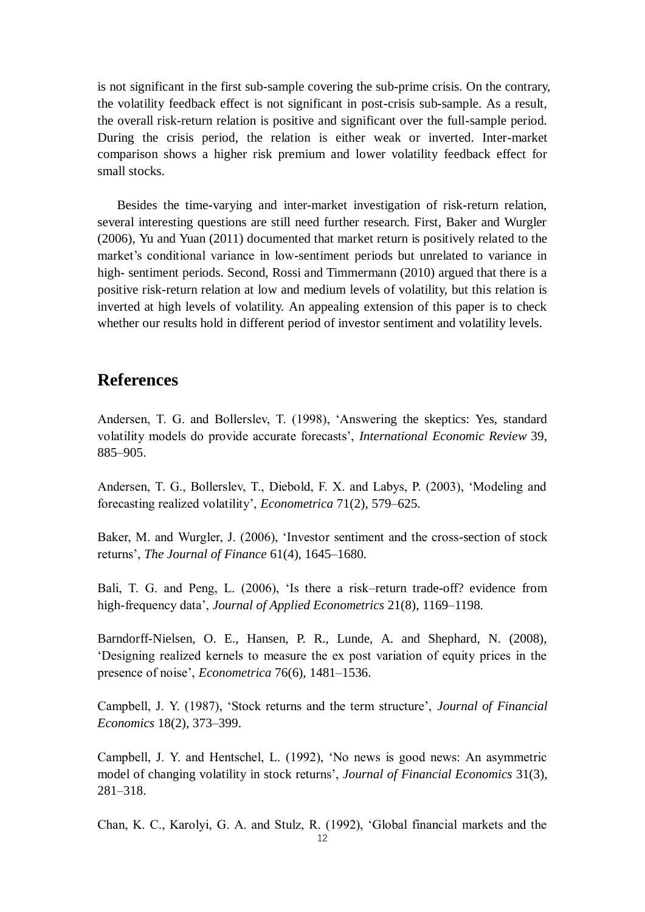is not significant in the first sub-sample covering the sub-prime crisis. On the contrary, the volatility feedback effect is not significant in post-crisis sub-sample. As a result, the overall risk-return relation is positive and significant over the full-sample period. During the crisis period, the relation is either weak or inverted. Inter-market comparison shows a higher risk premium and lower volatility feedback effect for small stocks.

 Besides the time-varying and inter-market investigation of risk-return relation, several interesting questions are still need further research. First, Baker and Wurgler (2006), Yu and Yuan (2011) documented that market return is positively related to the market's conditional variance in low-sentiment periods but unrelated to variance in high- sentiment periods. Second, Rossi and Timmermann (2010) argued that there is a positive risk-return relation at low and medium levels of volatility, but this relation is inverted at high levels of volatility. An appealing extension of this paper is to check whether our results hold in different period of investor sentiment and volatility levels.

## **References**

Andersen, T. G. and Bollerslev, T. (1998), 'Answering the skeptics: Yes, standard volatility models do provide accurate forecasts', *International Economic Review* 39, 885–905.

Andersen, T. G., Bollerslev, T., Diebold, F. X. and Labys, P. (2003), 'Modeling and forecasting realized volatility', *Econometrica* 71(2), 579–625.

Baker, M. and Wurgler, J. (2006), 'Investor sentiment and the cross-section of stock returns', *The Journal of Finance* 61(4), 1645–1680.

Bali, T. G. and Peng, L. (2006), 'Is there a risk–return trade-off? evidence from high-frequency data', *Journal of Applied Econometrics* 21(8), 1169–1198.

Barndorff-Nielsen, O. E., Hansen, P. R., Lunde, A. and Shephard, N. (2008), 'Designing realized kernels to measure the ex post variation of equity prices in the presence of noise', *Econometrica* 76(6), 1481–1536.

Campbell, J. Y. (1987), 'Stock returns and the term structure', *Journal of Financial Economics* 18(2), 373–399.

Campbell, J. Y. and Hentschel, L. (1992), 'No news is good news: An asymmetric model of changing volatility in stock returns', *Journal of Financial Economics* 31(3), 281–318.

Chan, K. C., Karolyi, G. A. and Stulz, R. (1992), 'Global financial markets and the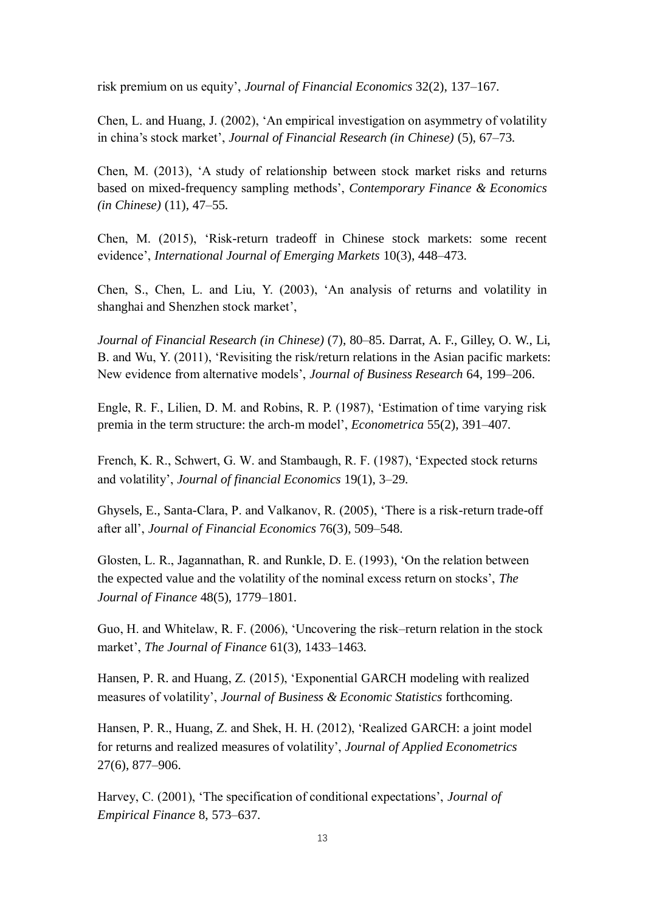risk premium on us equity', *Journal of Financial Economics* 32(2), 137–167.

Chen, L. and Huang, J. (2002), 'An empirical investigation on asymmetry of volatility in china's stock market', *Journal of Financial Research (in Chinese)* (5), 67–73.

Chen, M. (2013), 'A study of relationship between stock market risks and returns based on mixed-frequency sampling methods', *Contemporary Finance & Economics (in Chinese)* (11), 47–55.

Chen, M. (2015), 'Risk-return tradeoff in Chinese stock markets: some recent evidence', *International Journal of Emerging Markets* 10(3), 448–473.

Chen, S., Chen, L. and Liu, Y. (2003), 'An analysis of returns and volatility in shanghai and Shenzhen stock market',

*Journal of Financial Research (in Chinese)* (7), 80–85. Darrat, A. F., Gilley, O. W., Li, B. and Wu, Y. (2011), 'Revisiting the risk/return relations in the Asian pacific markets: New evidence from alternative models', *Journal of Business Research* 64, 199–206.

Engle, R. F., Lilien, D. M. and Robins, R. P. (1987), 'Estimation of time varying risk premia in the term structure: the arch-m model', *Econometrica* 55(2), 391–407.

French, K. R., Schwert, G. W. and Stambaugh, R. F. (1987), 'Expected stock returns and volatility', *Journal of financial Economics* 19(1), 3–29.

Ghysels, E., Santa-Clara, P. and Valkanov, R. (2005), 'There is a risk-return trade-off after all', *Journal of Financial Economics* 76(3), 509–548.

Glosten, L. R., Jagannathan, R. and Runkle, D. E. (1993), 'On the relation between the expected value and the volatility of the nominal excess return on stocks', *The Journal of Finance* 48(5), 1779–1801.

Guo, H. and Whitelaw, R. F. (2006), 'Uncovering the risk–return relation in the stock market', *The Journal of Finance* 61(3), 1433–1463.

Hansen, P. R. and Huang, Z. (2015), 'Exponential GARCH modeling with realized measures of volatility', *Journal of Business & Economic Statistics* forthcoming.

Hansen, P. R., Huang, Z. and Shek, H. H. (2012), 'Realized GARCH: a joint model for returns and realized measures of volatility', *Journal of Applied Econometrics*  27(6), 877–906.

Harvey, C. (2001), 'The specification of conditional expectations', *Journal of Empirical Finance* 8, 573–637.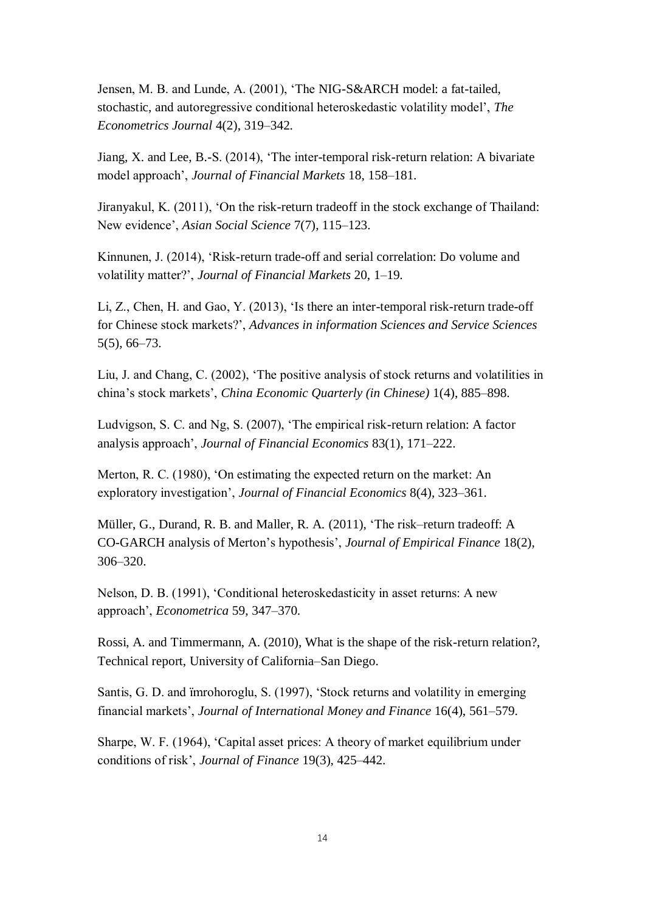Jensen, M. B. and Lunde, A. (2001), 'The NIG-S&ARCH model: a fat-tailed, stochastic, and autoregressive conditional heteroskedastic volatility model', *The Econometrics Journal* 4(2), 319–342.

Jiang, X. and Lee, B.-S. (2014), 'The inter-temporal risk-return relation: A bivariate model approach', *Journal of Financial Markets* 18, 158–181.

Jiranyakul, K. (2011), 'On the risk-return tradeoff in the stock exchange of Thailand: New evidence', *Asian Social Science* 7(7), 115–123.

Kinnunen, J. (2014), 'Risk-return trade-off and serial correlation: Do volume and volatility matter?', *Journal of Financial Markets* 20, 1–19.

Li, Z., Chen, H. and Gao, Y. (2013), 'Is there an inter-temporal risk-return trade-off for Chinese stock markets?', *Advances in information Sciences and Service Sciences*  5(5), 66–73.

Liu, J. and Chang, C. (2002), 'The positive analysis of stock returns and volatilities in china's stock markets', *China Economic Quarterly (in Chinese)* 1(4), 885–898.

Ludvigson, S. C. and Ng, S. (2007), 'The empirical risk-return relation: A factor analysis approach', *Journal of Financial Economics* 83(1), 171–222.

Merton, R. C. (1980), 'On estimating the expected return on the market: An exploratory investigation', *Journal of Financial Economics* 8(4), 323–361.

Müller, G., Durand, R. B. and Maller, R. A. (2011), 'The risk–return tradeoff: A CO-GARCH analysis of Merton's hypothesis', *Journal of Empirical Finance* 18(2), 306–320.

Nelson, D. B. (1991), 'Conditional heteroskedasticity in asset returns: A new approach', *Econometrica* 59, 347–370.

Rossi, A. and Timmermann, A. (2010), What is the shape of the risk-return relation?, Technical report, University of California–San Diego.

Santis, G. D. and ïmrohoroglu, S. (1997), 'Stock returns and volatility in emerging financial markets', *Journal of International Money and Finance* 16(4), 561–579.

Sharpe, W. F. (1964), 'Capital asset prices: A theory of market equilibrium under conditions of risk', *Journal of Finance* 19(3), 425–442.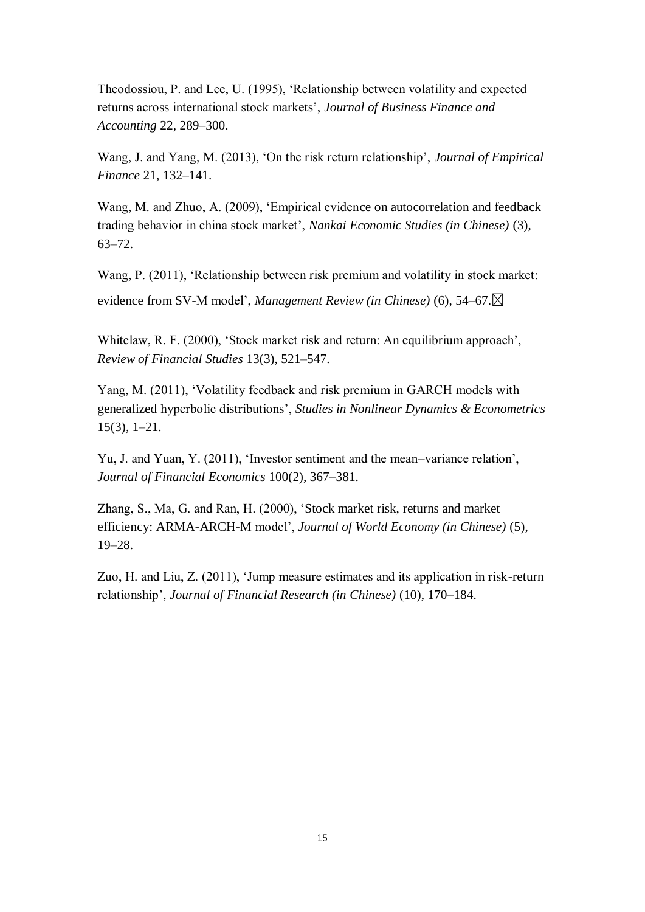Theodossiou, P. and Lee, U. (1995), 'Relationship between volatility and expected returns across international stock markets', *Journal of Business Finance and Accounting* 22, 289–300.

Wang, J. and Yang, M. (2013), 'On the risk return relationship', *Journal of Empirical Finance* 21, 132–141.

Wang, M. and Zhuo, A. (2009), 'Empirical evidence on autocorrelation and feedback trading behavior in china stock market', *Nankai Economic Studies (in Chinese)* (3), 63–72.

Wang, P. (2011), 'Relationship between risk premium and volatility in stock market:

evidence from SV-M model', *Management Review (in Chinese)* (6), 54–67.

Whitelaw, R. F. (2000), 'Stock market risk and return: An equilibrium approach', *Review of Financial Studies* 13(3), 521–547.

Yang, M. (2011), 'Volatility feedback and risk premium in GARCH models with generalized hyperbolic distributions', *Studies in Nonlinear Dynamics & Econometrics*  15(3), 1–21.

Yu, J. and Yuan, Y. (2011), 'Investor sentiment and the mean–variance relation', *Journal of Financial Economics* 100(2), 367–381.

Zhang, S., Ma, G. and Ran, H. (2000), 'Stock market risk, returns and market efficiency: ARMA-ARCH-M model', *Journal of World Economy (in Chinese)* (5), 19–28.

Zuo, H. and Liu, Z. (2011), 'Jump measure estimates and its application in risk-return relationship', *Journal of Financial Research (in Chinese)* (10), 170–184.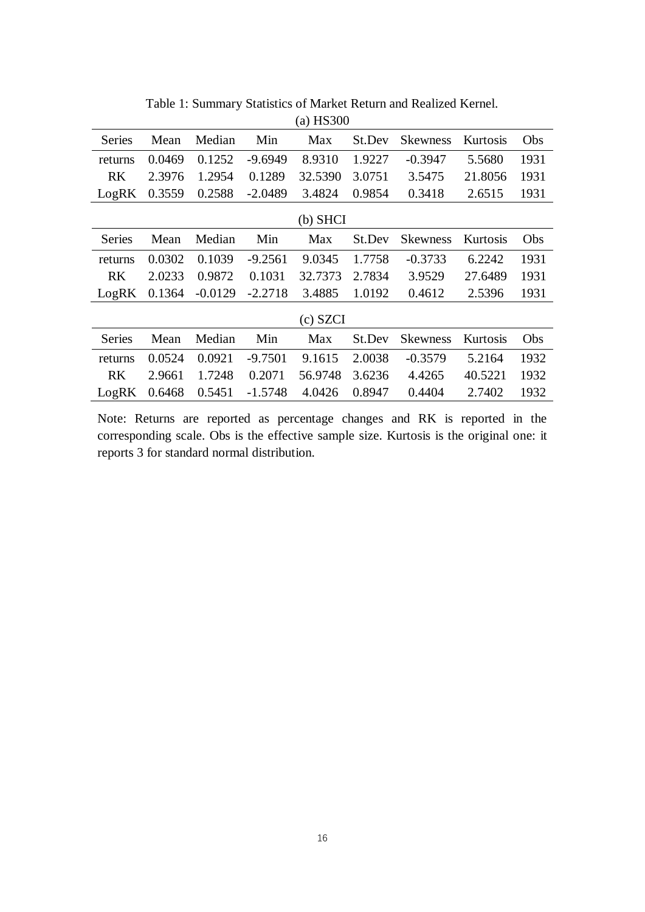| $(a)$ HS300   |        |           |           |            |        |                 |          |      |
|---------------|--------|-----------|-----------|------------|--------|-----------------|----------|------|
| <b>Series</b> | Mean   | Median    | Min       | Max        | St.Dev | <b>Skewness</b> | Kurtosis | Obs  |
| returns       | 0.0469 | 0.1252    | $-9.6949$ | 8.9310     | 1.9227 | $-0.3947$       | 5.5680   | 1931 |
| <b>RK</b>     | 2.3976 | 1.2954    | 0.1289    | 32.5390    | 3.0751 | 3.5475          | 21.8056  | 1931 |
| LogRK         | 0.3559 | 0.2588    | $-2.0489$ | 3.4824     | 0.9854 | 0.3418          | 2.6515   | 1931 |
|               |        |           |           | $(b)$ SHCI |        |                 |          |      |
| <b>Series</b> | Mean   | Median    | Min       | Max        | St.Dev | <b>Skewness</b> | Kurtosis | Obs  |
| returns       | 0.0302 | 0.1039    | $-9.2561$ | 9.0345     | 1.7758 | $-0.3733$       | 6.2242   | 1931 |
| <b>RK</b>     | 2.0233 | 0.9872    | 0.1031    | 32.7373    | 2.7834 | 3.9529          | 27.6489  | 1931 |
| LogRK         | 0.1364 | $-0.0129$ | $-2.2718$ | 3.4885     | 1.0192 | 0.4612          | 2.5396   | 1931 |
|               |        |           |           | (c) SZCI   |        |                 |          |      |
| <b>Series</b> | Mean   | Median    | Min       | Max        | St.Dev | <b>Skewness</b> | Kurtosis | Obs  |
| returns       | 0.0524 | 0.0921    | $-9.7501$ | 9.1615     | 2.0038 | $-0.3579$       | 5.2164   | 1932 |
| <b>RK</b>     | 2.9661 | 1.7248    | 0.2071    | 56.9748    | 3.6236 | 4.4265          | 40.5221  | 1932 |
| LogRK         | 0.6468 | 0.5451    | $-1.5748$ | 4.0426     | 0.8947 | 0.4404          | 2.7402   | 1932 |

Table 1: Summary Statistics of Market Return and Realized Kernel.

Note: Returns are reported as percentage changes and RK is reported in the corresponding scale. Obs is the effective sample size. Kurtosis is the original one: it reports 3 for standard normal distribution.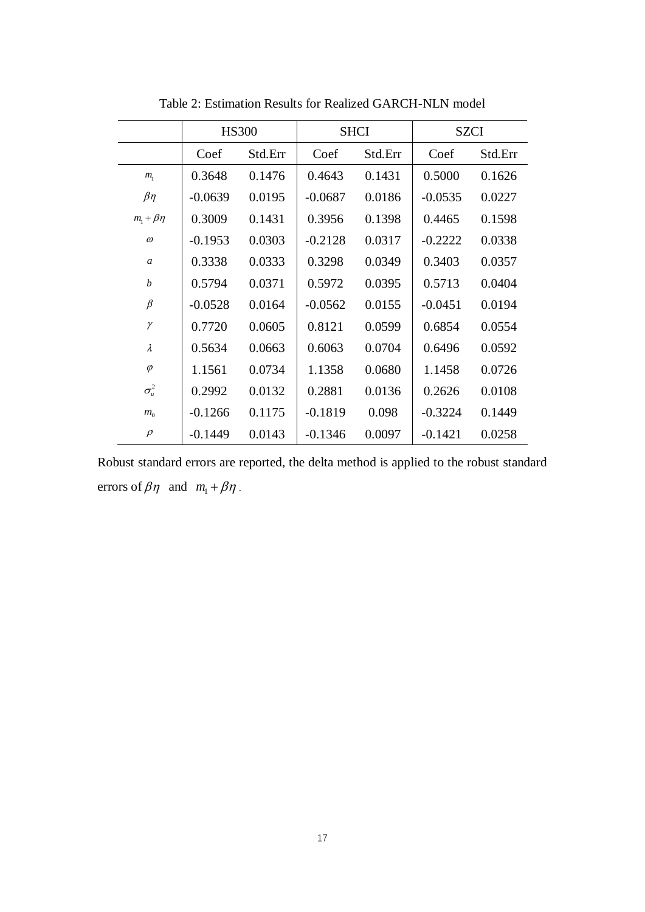|                    |           | <b>HS300</b> |           | <b>SHCI</b> | <b>SZCI</b> |         |  |
|--------------------|-----------|--------------|-----------|-------------|-------------|---------|--|
|                    | Coef      | Std.Err      | Coef      | Std.Err     | Coef        | Std.Err |  |
| $m_{\rm i}$        | 0.3648    | 0.1476       | 0.4643    | 0.1431      | 0.5000      | 0.1626  |  |
| $\beta$ η          | $-0.0639$ | 0.0195       | $-0.0687$ | 0.0186      | $-0.0535$   | 0.0227  |  |
| $m_1 + \beta \eta$ | 0.3009    | 0.1431       | 0.3956    | 0.1398      | 0.4465      | 0.1598  |  |
| $\omega$           | $-0.1953$ | 0.0303       | $-0.2128$ | 0.0317      | $-0.2222$   | 0.0338  |  |
| $\boldsymbol{a}$   | 0.3338    | 0.0333       | 0.3298    | 0.0349      | 0.3403      | 0.0357  |  |
| b                  | 0.5794    | 0.0371       | 0.5972    | 0.0395      | 0.5713      | 0.0404  |  |
| $\beta$            | $-0.0528$ | 0.0164       | $-0.0562$ | 0.0155      | $-0.0451$   | 0.0194  |  |
| γ                  | 0.7720    | 0.0605       | 0.8121    | 0.0599      | 0.6854      | 0.0554  |  |
| λ                  | 0.5634    | 0.0663       | 0.6063    | 0.0704      | 0.6496      | 0.0592  |  |
| $\varphi$          | 1.1561    | 0.0734       | 1.1358    | 0.0680      | 1.1458      | 0.0726  |  |
| $\sigma^2_u$       | 0.2992    | 0.0132       | 0.2881    | 0.0136      | 0.2626      | 0.0108  |  |
| m <sub>0</sub>     | $-0.1266$ | 0.1175       | $-0.1819$ | 0.098       | $-0.3224$   | 0.1449  |  |
| $\rho$             | $-0.1449$ | 0.0143       | $-0.1346$ | 0.0097      | $-0.1421$   | 0.0258  |  |

Table 2: Estimation Results for Realized GARCH-NLN model

Robust standard errors are reported, the delta method is applied to the robust standard errors of  $\beta\eta$  and  $m_1 + \beta\eta$ .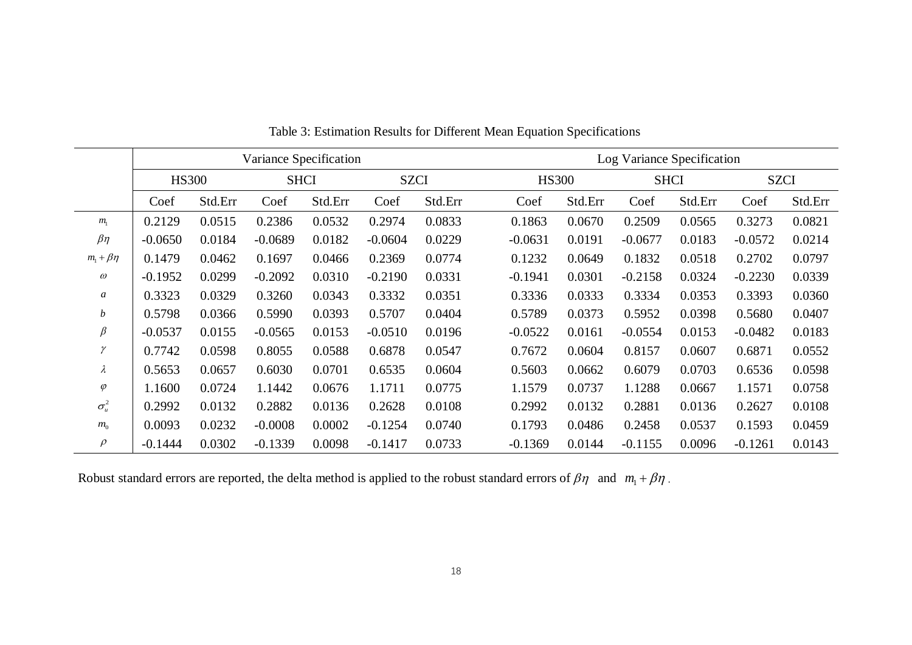|                    | Variance Specification |         |           |             |           |             | Log Variance Specification |         |             |         |             |         |  |
|--------------------|------------------------|---------|-----------|-------------|-----------|-------------|----------------------------|---------|-------------|---------|-------------|---------|--|
|                    | <b>HS300</b>           |         |           | <b>SHCI</b> |           | <b>SZCI</b> | <b>HS300</b>               |         | <b>SHCI</b> |         | <b>SZCI</b> |         |  |
|                    | Coef                   | Std.Err | Coef      | Std.Err     | Coef      | Std.Err     | Coef                       | Std.Err | Coef        | Std.Err | Coef        | Std.Err |  |
| m <sub>1</sub>     | 0.2129                 | 0.0515  | 0.2386    | 0.0532      | 0.2974    | 0.0833      | 0.1863                     | 0.0670  | 0.2509      | 0.0565  | 0.3273      | 0.0821  |  |
| $\beta\eta$        | $-0.0650$              | 0.0184  | $-0.0689$ | 0.0182      | $-0.0604$ | 0.0229      | $-0.0631$                  | 0.0191  | $-0.0677$   | 0.0183  | $-0.0572$   | 0.0214  |  |
| $m_1 + \beta \eta$ | 0.1479                 | 0.0462  | 0.1697    | 0.0466      | 0.2369    | 0.0774      | 0.1232                     | 0.0649  | 0.1832      | 0.0518  | 0.2702      | 0.0797  |  |
| $\omega$           | $-0.1952$              | 0.0299  | $-0.2092$ | 0.0310      | $-0.2190$ | 0.0331      | $-0.1941$                  | 0.0301  | $-0.2158$   | 0.0324  | $-0.2230$   | 0.0339  |  |
| a                  | 0.3323                 | 0.0329  | 0.3260    | 0.0343      | 0.3332    | 0.0351      | 0.3336                     | 0.0333  | 0.3334      | 0.0353  | 0.3393      | 0.0360  |  |
| b                  | 0.5798                 | 0.0366  | 0.5990    | 0.0393      | 0.5707    | 0.0404      | 0.5789                     | 0.0373  | 0.5952      | 0.0398  | 0.5680      | 0.0407  |  |
| $\beta$            | $-0.0537$              | 0.0155  | $-0.0565$ | 0.0153      | $-0.0510$ | 0.0196      | $-0.0522$                  | 0.0161  | $-0.0554$   | 0.0153  | $-0.0482$   | 0.0183  |  |
| $\gamma$           | 0.7742                 | 0.0598  | 0.8055    | 0.0588      | 0.6878    | 0.0547      | 0.7672                     | 0.0604  | 0.8157      | 0.0607  | 0.6871      | 0.0552  |  |
| $\lambda$          | 0.5653                 | 0.0657  | 0.6030    | 0.0701      | 0.6535    | 0.0604      | 0.5603                     | 0.0662  | 0.6079      | 0.0703  | 0.6536      | 0.0598  |  |
| $\varphi$          | 1.1600                 | 0.0724  | 1.1442    | 0.0676      | 1.1711    | 0.0775      | 1.1579                     | 0.0737  | 1.1288      | 0.0667  | 1.1571      | 0.0758  |  |
| $\sigma_u^2$       | 0.2992                 | 0.0132  | 0.2882    | 0.0136      | 0.2628    | 0.0108      | 0.2992                     | 0.0132  | 0.2881      | 0.0136  | 0.2627      | 0.0108  |  |
| $m_{0}$            | 0.0093                 | 0.0232  | $-0.0008$ | 0.0002      | $-0.1254$ | 0.0740      | 0.1793                     | 0.0486  | 0.2458      | 0.0537  | 0.1593      | 0.0459  |  |
| $\rho$             | $-0.1444$              | 0.0302  | $-0.1339$ | 0.0098      | $-0.1417$ | 0.0733      | $-0.1369$                  | 0.0144  | $-0.1155$   | 0.0096  | $-0.1261$   | 0.0143  |  |

Table 3: Estimation Results for Different Mean Equation Specifications

Robust standard errors are reported, the delta method is applied to the robust standard errors of  $\beta\eta$  and  $m_1 + \beta\eta$ .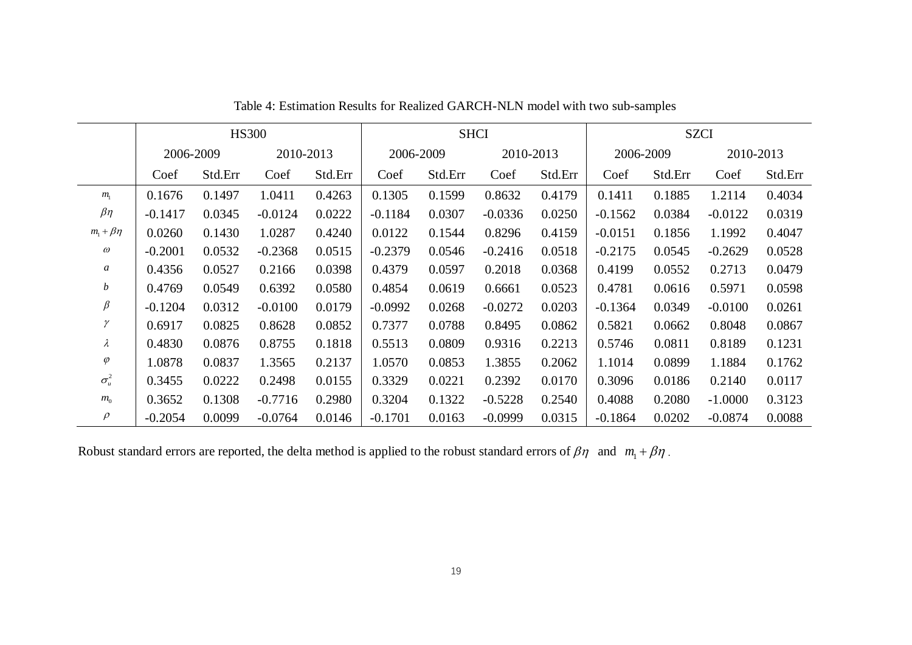|                    | <b>HS300</b> |         |           |         | <b>SHCI</b> |         |           | <b>SZCI</b> |           |         |           |         |
|--------------------|--------------|---------|-----------|---------|-------------|---------|-----------|-------------|-----------|---------|-----------|---------|
|                    | 2006-2009    |         | 2010-2013 |         | 2006-2009   |         | 2010-2013 |             | 2006-2009 |         | 2010-2013 |         |
|                    | Coef         | Std.Err | Coef      | Std.Err | Coef        | Std.Err | Coef      | Std.Err     | Coef      | Std.Err | Coef      | Std.Err |
| $m_{\rm i}$        | 0.1676       | 0.1497  | 1.0411    | 0.4263  | 0.1305      | 0.1599  | 0.8632    | 0.4179      | 0.1411    | 0.1885  | 1.2114    | 0.4034  |
| $\beta\eta$        | $-0.1417$    | 0.0345  | $-0.0124$ | 0.0222  | $-0.1184$   | 0.0307  | $-0.0336$ | 0.0250      | $-0.1562$ | 0.0384  | $-0.0122$ | 0.0319  |
| $m_1 + \beta \eta$ | 0.0260       | 0.1430  | 1.0287    | 0.4240  | 0.0122      | 0.1544  | 0.8296    | 0.4159      | $-0.0151$ | 0.1856  | 1.1992    | 0.4047  |
| $\omega$           | $-0.2001$    | 0.0532  | $-0.2368$ | 0.0515  | $-0.2379$   | 0.0546  | $-0.2416$ | 0.0518      | $-0.2175$ | 0.0545  | $-0.2629$ | 0.0528  |
| $\boldsymbol{a}$   | 0.4356       | 0.0527  | 0.2166    | 0.0398  | 0.4379      | 0.0597  | 0.2018    | 0.0368      | 0.4199    | 0.0552  | 0.2713    | 0.0479  |
| b                  | 0.4769       | 0.0549  | 0.6392    | 0.0580  | 0.4854      | 0.0619  | 0.6661    | 0.0523      | 0.4781    | 0.0616  | 0.5971    | 0.0598  |
| $\beta$            | $-0.1204$    | 0.0312  | $-0.0100$ | 0.0179  | $-0.0992$   | 0.0268  | $-0.0272$ | 0.0203      | $-0.1364$ | 0.0349  | $-0.0100$ | 0.0261  |
| γ                  | 0.6917       | 0.0825  | 0.8628    | 0.0852  | 0.7377      | 0.0788  | 0.8495    | 0.0862      | 0.5821    | 0.0662  | 0.8048    | 0.0867  |
| $\lambda$          | 0.4830       | 0.0876  | 0.8755    | 0.1818  | 0.5513      | 0.0809  | 0.9316    | 0.2213      | 0.5746    | 0.0811  | 0.8189    | 0.1231  |
| $\varphi$          | 1.0878       | 0.0837  | 1.3565    | 0.2137  | 1.0570      | 0.0853  | 1.3855    | 0.2062      | 1.1014    | 0.0899  | 1.1884    | 0.1762  |
| $\sigma_u^2$       | 0.3455       | 0.0222  | 0.2498    | 0.0155  | 0.3329      | 0.0221  | 0.2392    | 0.0170      | 0.3096    | 0.0186  | 0.2140    | 0.0117  |
| $m_{0}$            | 0.3652       | 0.1308  | $-0.7716$ | 0.2980  | 0.3204      | 0.1322  | $-0.5228$ | 0.2540      | 0.4088    | 0.2080  | $-1.0000$ | 0.3123  |
| $\rho$             | $-0.2054$    | 0.0099  | $-0.0764$ | 0.0146  | $-0.1701$   | 0.0163  | $-0.0999$ | 0.0315      | $-0.1864$ | 0.0202  | $-0.0874$ | 0.0088  |

Table 4: Estimation Results for Realized GARCH-NLN model with two sub-samples

Robust standard errors are reported, the delta method is applied to the robust standard errors of  $\beta\eta$  and  $m_1 + \beta\eta$ .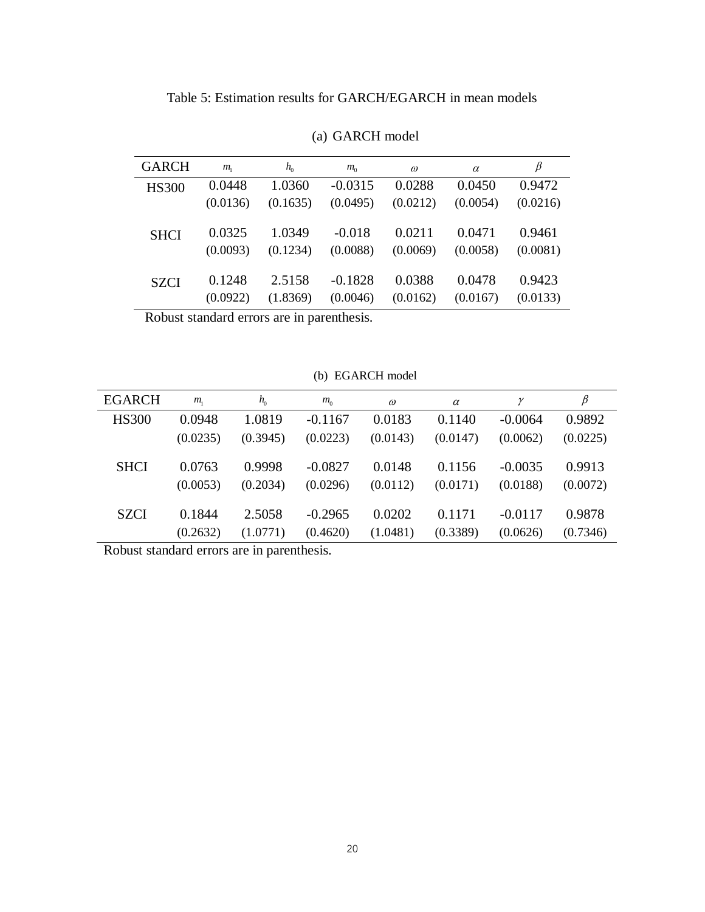Table 5: Estimation results for GARCH/EGARCH in mean models

| <b>GARCH</b> | $m_{\rm i}$ | $h_{0}$  | $m_{0}$   | $\omega$ | $\alpha$ | β        |
|--------------|-------------|----------|-----------|----------|----------|----------|
| <b>HS300</b> | 0.0448      | 1.0360   | $-0.0315$ | 0.0288   | 0.0450   | 0.9472   |
|              | (0.0136)    | (0.1635) | (0.0495)  | (0.0212) | (0.0054) | (0.0216) |
|              |             |          |           |          |          |          |
| <b>SHCI</b>  | 0.0325      | 1.0349   | $-0.018$  | 0.0211   | 0.0471   | 0.9461   |
|              | (0.0093)    | (0.1234) | (0.0088)  | (0.0069) | (0.0058) | (0.0081) |
|              |             |          |           |          |          |          |
| <b>SZCI</b>  | 0.1248      | 2.5158   | $-0.1828$ | 0.0388   | 0.0478   | 0.9423   |
|              | (0.0922)    | (1.8369) | (0.0046)  | (0.0162) | (0.0167) | (0.0133) |
|              |             |          |           |          |          |          |

(a) GARCH model

Robust standard errors are in parenthesis.

(b) EGARCH model

| <b>EGARCH</b> | $m_{\rm i}$ | $h_{0}$  | $m_{0}$   | $\omega$ | $\alpha$ |           | $\beta$  |
|---------------|-------------|----------|-----------|----------|----------|-----------|----------|
| <b>HS300</b>  | 0.0948      | 1.0819   | $-0.1167$ | 0.0183   | 0.1140   | $-0.0064$ | 0.9892   |
|               | (0.0235)    | (0.3945) | (0.0223)  | (0.0143) | (0.0147) | (0.0062)  | (0.0225) |
| <b>SHCI</b>   | 0.0763      | 0.9998   | $-0.0827$ | 0.0148   | 0.1156   | $-0.0035$ | 0.9913   |
|               | (0.0053)    | (0.2034) | (0.0296)  | (0.0112) | (0.0171) | (0.0188)  | (0.0072) |
| SZCI          | 0.1844      | 2.5058   | $-0.2965$ | 0.0202   | 0.1171   | $-0.0117$ | 0.9878   |
|               | (0.2632)    | (1.0771) | (0.4620)  | (1.0481) | (0.3389) | (0.0626)  | (0.7346) |

Robust standard errors are in parenthesis.